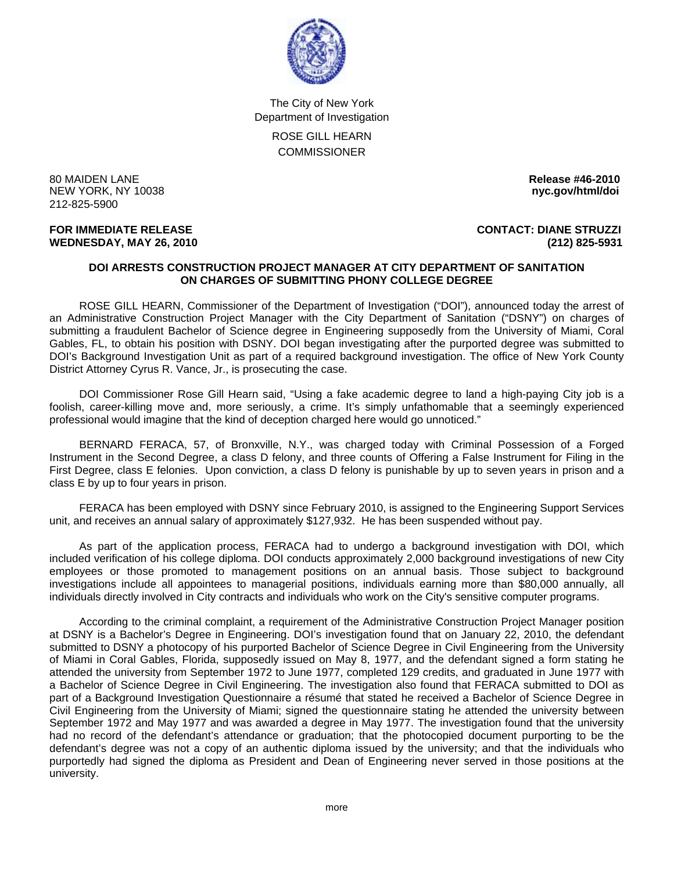

The City of New York Department of Investigation ROSE GILL HEARN

**COMMISSIONER** 

80 MAIDEN LANE **Release #46-2010**  NEW YORK, NY 10038 **nyc.gov/html/doi**  212-825-5900

**WEDNESDAY, MAY 26, 2010 (212) 825-5931**

**FOR IMMEDIATE RELEASE CONTACT: DIANE STRUZZI** 

## **DOI ARRESTS CONSTRUCTION PROJECT MANAGER AT CITY DEPARTMENT OF SANITATION ON CHARGES OF SUBMITTING PHONY COLLEGE DEGREE**

 ROSE GILL HEARN, Commissioner of the Department of Investigation ("DOI"), announced today the arrest of an Administrative Construction Project Manager with the City Department of Sanitation ("DSNY") on charges of submitting a fraudulent Bachelor of Science degree in Engineering supposedly from the University of Miami, Coral Gables, FL, to obtain his position with DSNY. DOI began investigating after the purported degree was submitted to DOI's Background Investigation Unit as part of a required background investigation. The office of New York County District Attorney Cyrus R. Vance, Jr., is prosecuting the case.

 DOI Commissioner Rose Gill Hearn said, "Using a fake academic degree to land a high-paying City job is a foolish, career-killing move and, more seriously, a crime. It's simply unfathomable that a seemingly experienced professional would imagine that the kind of deception charged here would go unnoticed."

 BERNARD FERACA, 57, of Bronxville, N.Y., was charged today with Criminal Possession of a Forged Instrument in the Second Degree, a class D felony, and three counts of Offering a False Instrument for Filing in the First Degree, class E felonies. Upon conviction, a class D felony is punishable by up to seven years in prison and a class E by up to four years in prison.

 FERACA has been employed with DSNY since February 2010, is assigned to the Engineering Support Services unit, and receives an annual salary of approximately \$127,932. He has been suspended without pay.

 As part of the application process, FERACA had to undergo a background investigation with DOI, which included verification of his college diploma. DOI conducts approximately 2,000 background investigations of new City employees or those promoted to management positions on an annual basis. Those subject to background investigations include all appointees to managerial positions, individuals earning more than \$80,000 annually, all individuals directly involved in City contracts and individuals who work on the City's sensitive computer programs.

 According to the criminal complaint, a requirement of the Administrative Construction Project Manager position at DSNY is a Bachelor's Degree in Engineering. DOI's investigation found that on January 22, 2010, the defendant submitted to DSNY a photocopy of his purported Bachelor of Science Degree in Civil Engineering from the University of Miami in Coral Gables, Florida, supposedly issued on May 8, 1977, and the defendant signed a form stating he attended the university from September 1972 to June 1977, completed 129 credits, and graduated in June 1977 with a Bachelor of Science Degree in Civil Engineering. The investigation also found that FERACA submitted to DOI as part of a Background Investigation Questionnaire a résumé that stated he received a Bachelor of Science Degree in Civil Engineering from the University of Miami; signed the questionnaire stating he attended the university between September 1972 and May 1977 and was awarded a degree in May 1977. The investigation found that the university had no record of the defendant's attendance or graduation; that the photocopied document purporting to be the defendant's degree was not a copy of an authentic diploma issued by the university; and that the individuals who purportedly had signed the diploma as President and Dean of Engineering never served in those positions at the university.